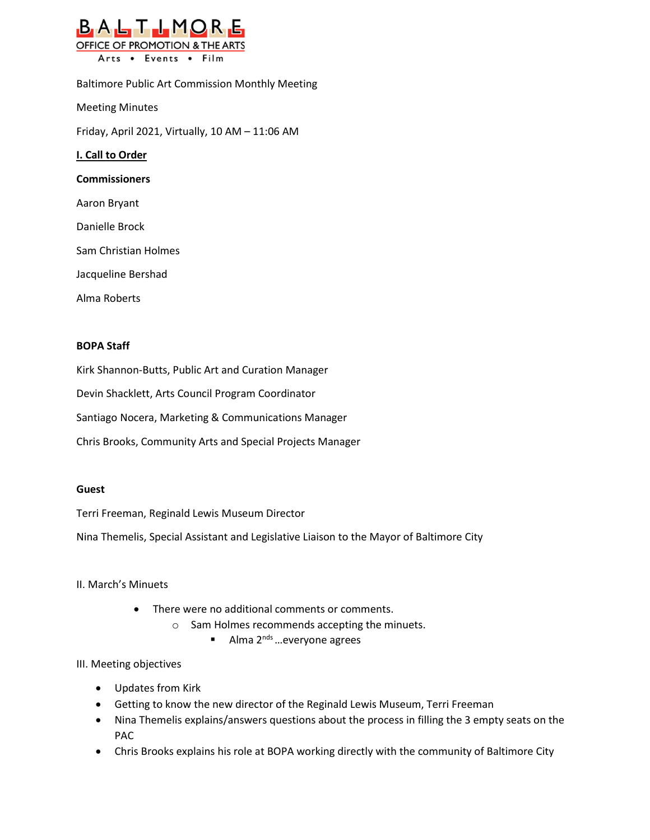

Baltimore Public Art Commission Monthly Meeting Meeting Minutes Friday, April 2021, Virtually, 10 AM – 11:06 AM **I. Call to Order Commissioners** Aaron Bryant Danielle Brock Sam Christian Holmes Jacqueline Bershad Alma Roberts

## **BOPA Staff**

Kirk Shannon-Butts, Public Art and Curation Manager

Devin Shacklett, Arts Council Program Coordinator

Santiago Nocera, Marketing & Communications Manager

Chris Brooks, Community Arts and Special Projects Manager

## **Guest**

Terri Freeman, Reginald Lewis Museum Director

Nina Themelis, Special Assistant and Legislative Liaison to the Mayor of Baltimore City

## II. March's Minuets

- There were no additional comments or comments.
	- o Sam Holmes recommends accepting the minuets.
		- Alma  $2^{nds}$  ... everyone agrees

## III. Meeting objectives

- Updates from Kirk
- Getting to know the new director of the Reginald Lewis Museum, Terri Freeman
- Nina Themelis explains/answers questions about the process in filling the 3 empty seats on the PAC
- Chris Brooks explains his role at BOPA working directly with the community of Baltimore City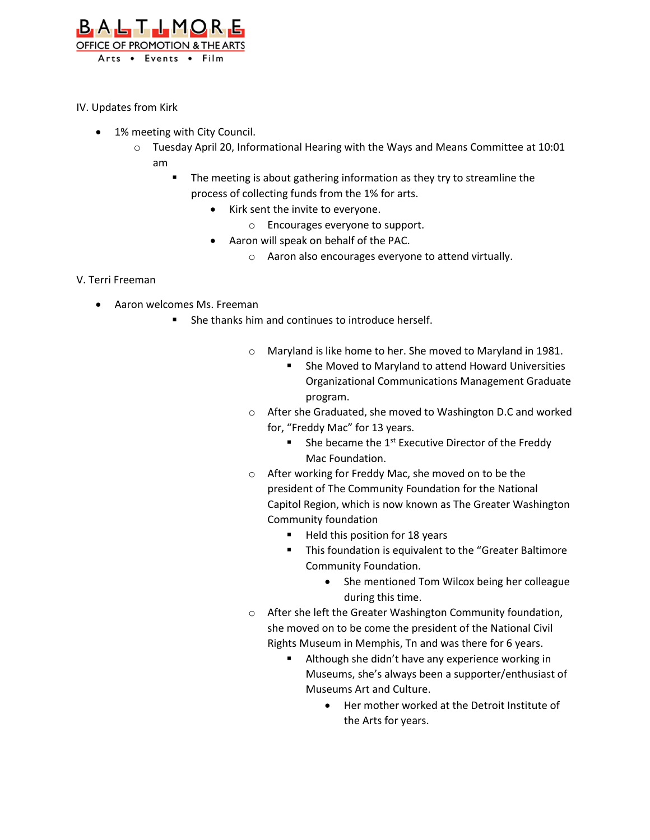

IV. Updates from Kirk

- 1% meeting with City Council.
	- $\circ$  Tuesday April 20, Informational Hearing with the Ways and Means Committee at 10:01 am
		- The meeting is about gathering information as they try to streamline the process of collecting funds from the 1% for arts.
			- Kirk sent the invite to everyone.
				- o Encourages everyone to support.
			- Aaron will speak on behalf of the PAC.
				- o Aaron also encourages everyone to attend virtually.

V. Terri Freeman

- Aaron welcomes Ms. Freeman
	- She thanks him and continues to introduce herself.
		- o Maryland is like home to her. She moved to Maryland in 1981.
			- She Moved to Maryland to attend Howard Universities Organizational Communications Management Graduate program.
		- o After she Graduated, she moved to Washington D.C and worked for, "Freddy Mac" for 13 years.
			- She became the  $1<sup>st</sup>$  Executive Director of the Freddy Mac Foundation.
		- o After working for Freddy Mac, she moved on to be the president of The Community Foundation for the National Capitol Region, which is now known as The Greater Washington Community foundation
			- Held this position for 18 years
			- This foundation is equivalent to the "Greater Baltimore Community Foundation.
				- She mentioned Tom Wilcox being her colleague during this time.
		- o After she left the Greater Washington Community foundation, she moved on to be come the president of the National Civil Rights Museum in Memphis, Tn and was there for 6 years.
			- Although she didn't have any experience working in Museums, she's always been a supporter/enthusiast of Museums Art and Culture.
				- Her mother worked at the Detroit Institute of the Arts for years.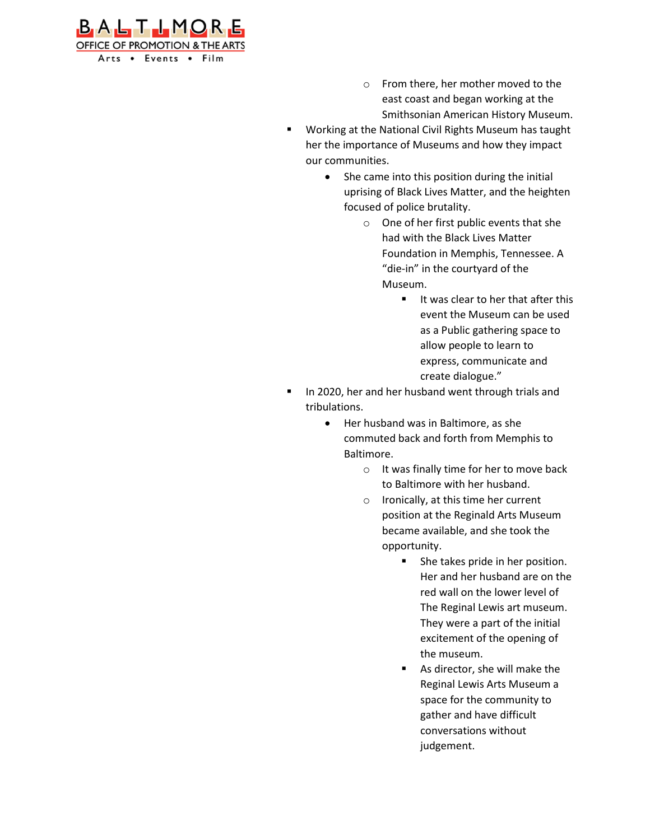

- o From there, her mother moved to the east coast and began working at the Smithsonian American History Museum.
- Working at the National Civil Rights Museum has taught her the importance of Museums and how they impact our communities.
	- She came into this position during the initial uprising of Black Lives Matter, and the heighten focused of police brutality.
		- o One of her first public events that she had with the Black Lives Matter Foundation in Memphis, Tennessee. A "die-in" in the courtyard of the Museum.
			- It was clear to her that after this event the Museum can be used as a Public gathering space to allow people to learn to express, communicate and create dialogue."
- In 2020, her and her husband went through trials and tribulations.
	- Her husband was in Baltimore, as she commuted back and forth from Memphis to Baltimore.
		- o It was finally time for her to move back to Baltimore with her husband.
		- o Ironically, at this time her current position at the Reginald Arts Museum became available, and she took the opportunity.
			- She takes pride in her position. Her and her husband are on the red wall on the lower level of The Reginal Lewis art museum. They were a part of the initial excitement of the opening of the museum.
			- As director, she will make the Reginal Lewis Arts Museum a space for the community to gather and have difficult conversations without judgement.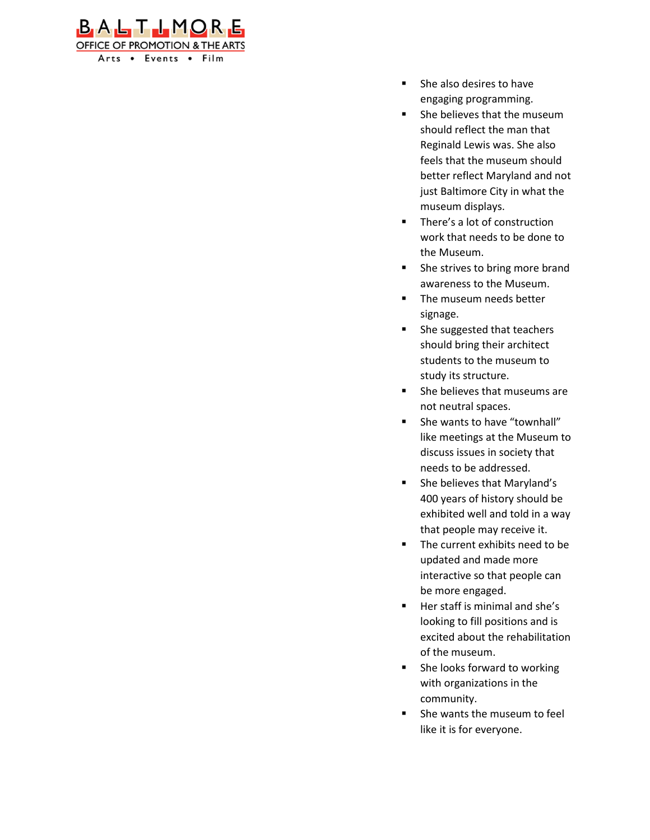

- She also desires to have engaging programming.
- She believes that the museum should reflect the man that Reginald Lewis was. She also feels that the museum should better reflect Maryland and not just Baltimore City in what the museum displays.
- There's a lot of construction work that needs to be done to the Museum.
- She strives to bring more brand awareness to the Museum.
- The museum needs better signage.
- She suggested that teachers should bring their architect students to the museum to study its structure.
- She believes that museums are not neutral spaces.
- She wants to have "townhall" like meetings at the Museum to discuss issues in society that needs to be addressed.
- She believes that Maryland's 400 years of history should be exhibited well and told in a way that people may receive it.
- The current exhibits need to be updated and made more interactive so that people can be more engaged.
- Her staff is minimal and she's looking to fill positions and is excited about the rehabilitation of the museum.
- She looks forward to working with organizations in the community.
- She wants the museum to feel like it is for everyone.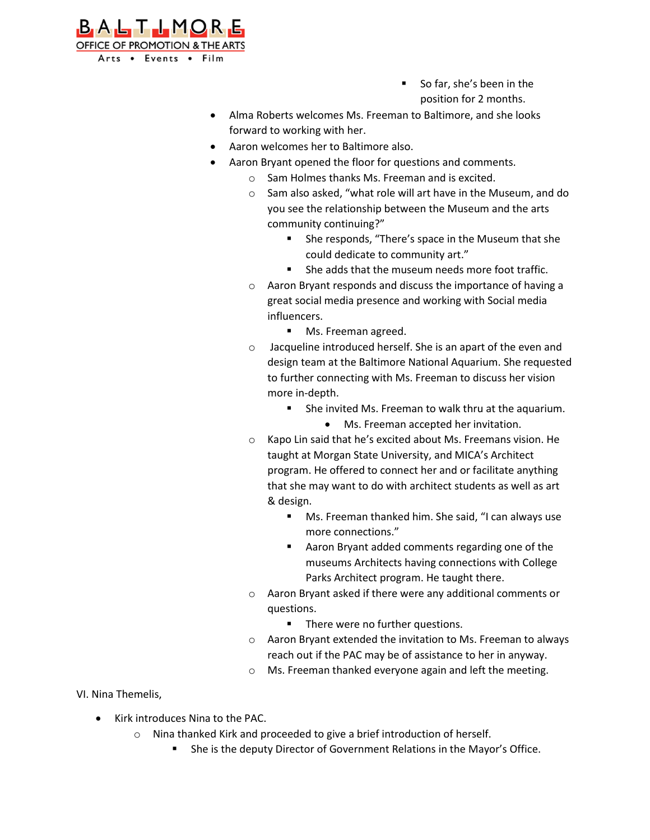

- So far, she's been in the position for 2 months.
- Alma Roberts welcomes Ms. Freeman to Baltimore, and she looks forward to working with her.
- Aaron welcomes her to Baltimore also.
- Aaron Bryant opened the floor for questions and comments.
	- o Sam Holmes thanks Ms. Freeman and is excited.
	- o Sam also asked, "what role will art have in the Museum, and do you see the relationship between the Museum and the arts community continuing?"
		- She responds, "There's space in the Museum that she could dedicate to community art."
		- She adds that the museum needs more foot traffic.
	- o Aaron Bryant responds and discuss the importance of having a great social media presence and working with Social media influencers.
		- Ms. Freeman agreed.
	- o Jacqueline introduced herself. She is an apart of the even and design team at the Baltimore National Aquarium. She requested to further connecting with Ms. Freeman to discuss her vision more in-depth.
		- She invited Ms. Freeman to walk thru at the aquarium.
			- Ms. Freeman accepted her invitation.
	- o Kapo Lin said that he's excited about Ms. Freemans vision. He taught at Morgan State University, and MICA's Architect program. He offered to connect her and or facilitate anything that she may want to do with architect students as well as art & design.
		- Ms. Freeman thanked him. She said, "I can always use more connections."
		- Aaron Bryant added comments regarding one of the museums Architects having connections with College Parks Architect program. He taught there.
	- o Aaron Bryant asked if there were any additional comments or questions.
		- There were no further questions.
	- o Aaron Bryant extended the invitation to Ms. Freeman to always reach out if the PAC may be of assistance to her in anyway.
	- o Ms. Freeman thanked everyone again and left the meeting.

VI. Nina Themelis,

- Kirk introduces Nina to the PAC.
	- o Nina thanked Kirk and proceeded to give a brief introduction of herself.
		- She is the deputy Director of Government Relations in the Mayor's Office.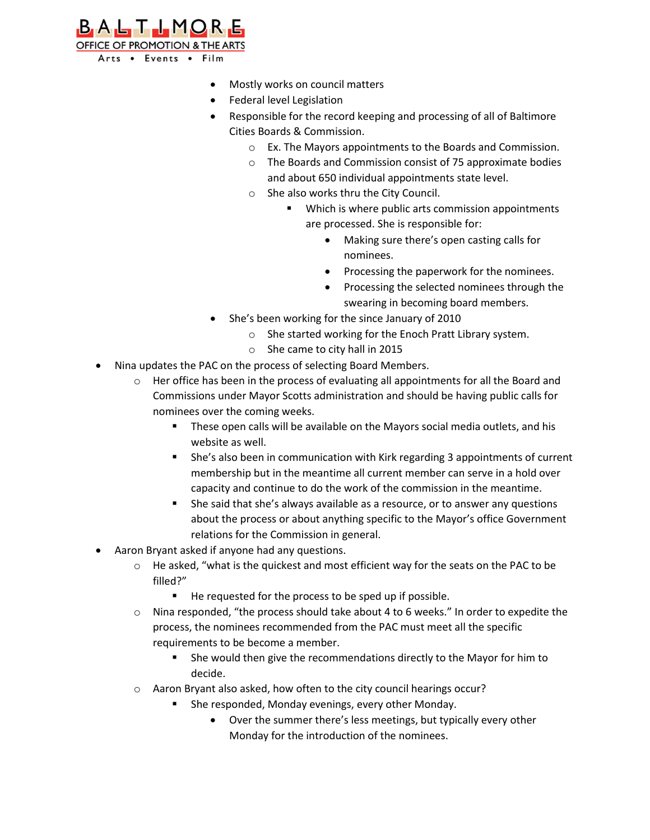

- Mostly works on council matters
- Federal level Legislation
- Responsible for the record keeping and processing of all of Baltimore Cities Boards & Commission.
	- o Ex. The Mayors appointments to the Boards and Commission.
	- o The Boards and Commission consist of 75 approximate bodies and about 650 individual appointments state level.
	- o She also works thru the City Council.
		- Which is where public arts commission appointments are processed. She is responsible for:
			- Making sure there's open casting calls for nominees.
			- Processing the paperwork for the nominees.
			- Processing the selected nominees through the swearing in becoming board members.
- She's been working for the since January of 2010
	- o She started working for the Enoch Pratt Library system.
	- o She came to city hall in 2015
- Nina updates the PAC on the process of selecting Board Members.
	- o Her office has been in the process of evaluating all appointments for all the Board and Commissions under Mayor Scotts administration and should be having public calls for nominees over the coming weeks.
		- These open calls will be available on the Mayors social media outlets, and his website as well.
		- **EXECT** She's also been in communication with Kirk regarding 3 appointments of current membership but in the meantime all current member can serve in a hold over capacity and continue to do the work of the commission in the meantime.
		- She said that she's always available as a resource, or to answer any questions about the process or about anything specific to the Mayor's office Government relations for the Commission in general.
- Aaron Bryant asked if anyone had any questions.
	- $\circ$  He asked, "what is the quickest and most efficient way for the seats on the PAC to be filled?"
		- He requested for the process to be sped up if possible.
	- o Nina responded, "the process should take about 4 to 6 weeks." In order to expedite the process, the nominees recommended from the PAC must meet all the specific requirements to be become a member.
		- She would then give the recommendations directly to the Mayor for him to decide.
	- o Aaron Bryant also asked, how often to the city council hearings occur?
		- She responded, Monday evenings, every other Monday.
			- Over the summer there's less meetings, but typically every other Monday for the introduction of the nominees.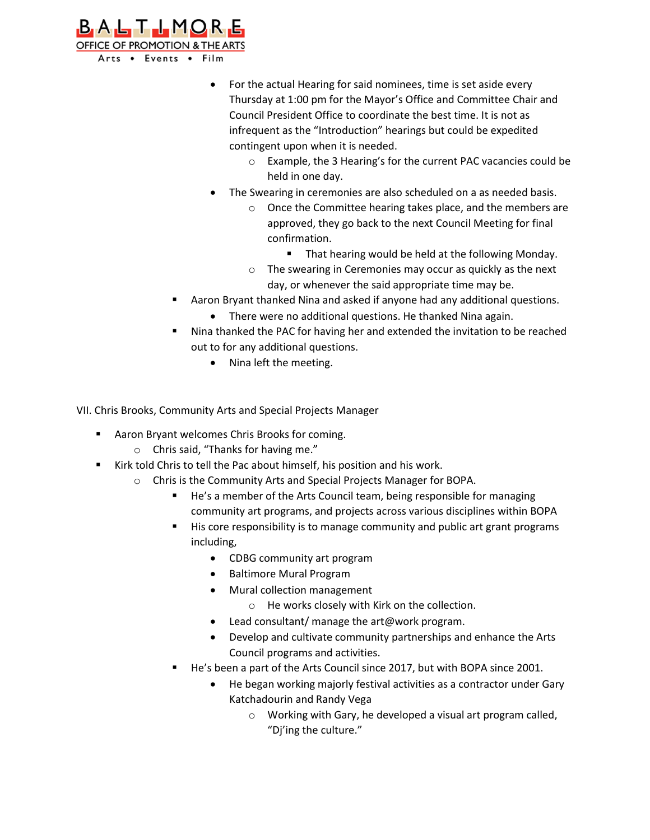

- For the actual Hearing for said nominees, time is set aside every Thursday at 1:00 pm for the Mayor's Office and Committee Chair and Council President Office to coordinate the best time. It is not as infrequent as the "Introduction" hearings but could be expedited contingent upon when it is needed.
	- o Example, the 3 Hearing's for the current PAC vacancies could be held in one day.
- The Swearing in ceremonies are also scheduled on a as needed basis.
	- o Once the Committee hearing takes place, and the members are approved, they go back to the next Council Meeting for final confirmation.
		- That hearing would be held at the following Monday.
	- o The swearing in Ceremonies may occur as quickly as the next day, or whenever the said appropriate time may be.
- Aaron Bryant thanked Nina and asked if anyone had any additional questions.
	- There were no additional questions. He thanked Nina again.
- Nina thanked the PAC for having her and extended the invitation to be reached out to for any additional questions.
	- Nina left the meeting.

VII. Chris Brooks, Community Arts and Special Projects Manager

- Aaron Bryant welcomes Chris Brooks for coming.
	- o Chris said, "Thanks for having me."
- Kirk told Chris to tell the Pac about himself, his position and his work.
	- o Chris is the Community Arts and Special Projects Manager for BOPA.
		- He's a member of the Arts Council team, being responsible for managing community art programs, and projects across various disciplines within BOPA
		- His core responsibility is to manage community and public art grant programs including,
			- CDBG community art program
			- Baltimore Mural Program
			- Mural collection management
				- o He works closely with Kirk on the collection.
			- Lead consultant/ manage the art@work program.
			- Develop and cultivate community partnerships and enhance the Arts Council programs and activities.
		- He's been a part of the Arts Council since 2017, but with BOPA since 2001.
			- He began working majorly festival activities as a contractor under Gary Katchadourin and Randy Vega
				- o Working with Gary, he developed a visual art program called, "Dj'ing the culture."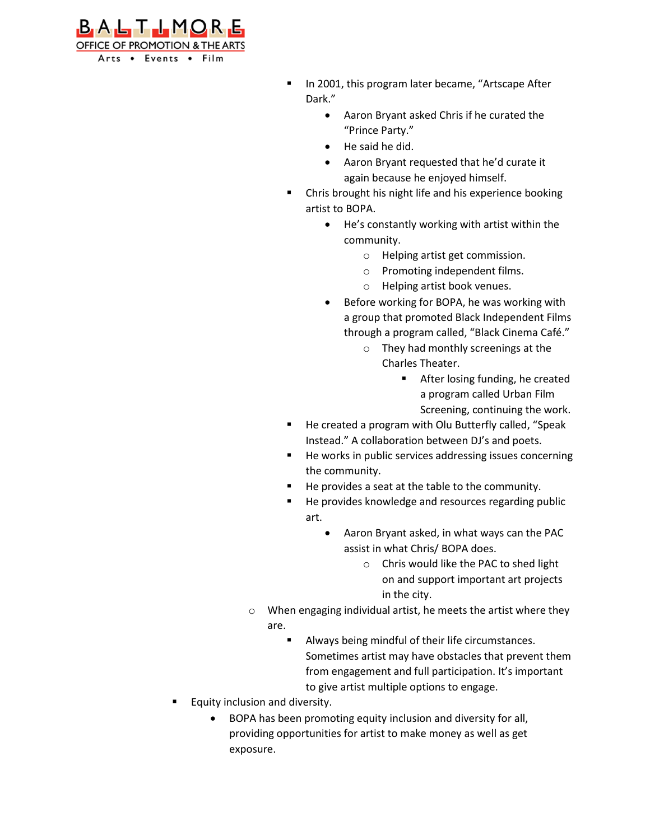

- In 2001, this program later became, "Artscape After Dark."
	- Aaron Bryant asked Chris if he curated the "Prince Party."
	- He said he did.
	- Aaron Bryant requested that he'd curate it again because he enjoyed himself.
- Chris brought his night life and his experience booking artist to BOPA.
	- He's constantly working with artist within the community.
		- o Helping artist get commission.
		- o Promoting independent films.
		- o Helping artist book venues.
	- Before working for BOPA, he was working with a group that promoted Black Independent Films through a program called, "Black Cinema Café."
		- o They had monthly screenings at the Charles Theater.
			- After losing funding, he created a program called Urban Film Screening, continuing the work.
- He created a program with Olu Butterfly called, "Speak Instead." A collaboration between DJ's and poets.
- He works in public services addressing issues concerning the community.
- He provides a seat at the table to the community.
- He provides knowledge and resources regarding public art.
	- Aaron Bryant asked, in what ways can the PAC assist in what Chris/ BOPA does.
		- o Chris would like the PAC to shed light on and support important art projects in the city.
- o When engaging individual artist, he meets the artist where they are.
	- Always being mindful of their life circumstances. Sometimes artist may have obstacles that prevent them from engagement and full participation. It's important to give artist multiple options to engage.
- Equity inclusion and diversity.
	- BOPA has been promoting equity inclusion and diversity for all, providing opportunities for artist to make money as well as get exposure.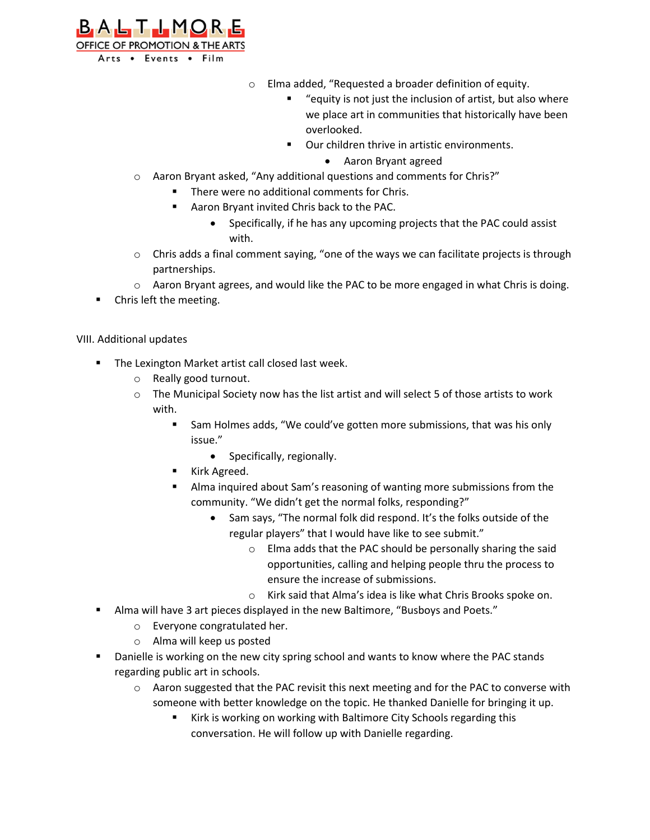

- o Elma added, "Requested a broader definition of equity.
	- "equity is not just the inclusion of artist, but also where we place art in communities that historically have been overlooked.
	- Our children thrive in artistic environments.
		- Aaron Bryant agreed
- o Aaron Bryant asked, "Any additional questions and comments for Chris?"
	- There were no additional comments for Chris.
	- Aaron Bryant invited Chris back to the PAC.
		- Specifically, if he has any upcoming projects that the PAC could assist with.
- $\circ$  Chris adds a final comment saying, "one of the ways we can facilitate projects is through partnerships.
- $\circ$  Aaron Bryant agrees, and would like the PAC to be more engaged in what Chris is doing.
- Chris left the meeting.

VIII. Additional updates

- The Lexington Market artist call closed last week.
	- o Really good turnout.
	- $\circ$  The Municipal Society now has the list artist and will select 5 of those artists to work with.
		- Sam Holmes adds, "We could've gotten more submissions, that was his only issue."
			- Specifically, regionally.
		- Kirk Agreed.
		- Alma inquired about Sam's reasoning of wanting more submissions from the community. "We didn't get the normal folks, responding?"
			- Sam says, "The normal folk did respond. It's the folks outside of the regular players" that I would have like to see submit."
				- o Elma adds that the PAC should be personally sharing the said opportunities, calling and helping people thru the process to ensure the increase of submissions.
				- o Kirk said that Alma's idea is like what Chris Brooks spoke on.
- Alma will have 3 art pieces displayed in the new Baltimore, "Busboys and Poets."
	- o Everyone congratulated her.
		- o Alma will keep us posted
- Danielle is working on the new city spring school and wants to know where the PAC stands regarding public art in schools.
	- o Aaron suggested that the PAC revisit this next meeting and for the PAC to converse with someone with better knowledge on the topic. He thanked Danielle for bringing it up.
		- Kirk is working on working with Baltimore City Schools regarding this conversation. He will follow up with Danielle regarding.